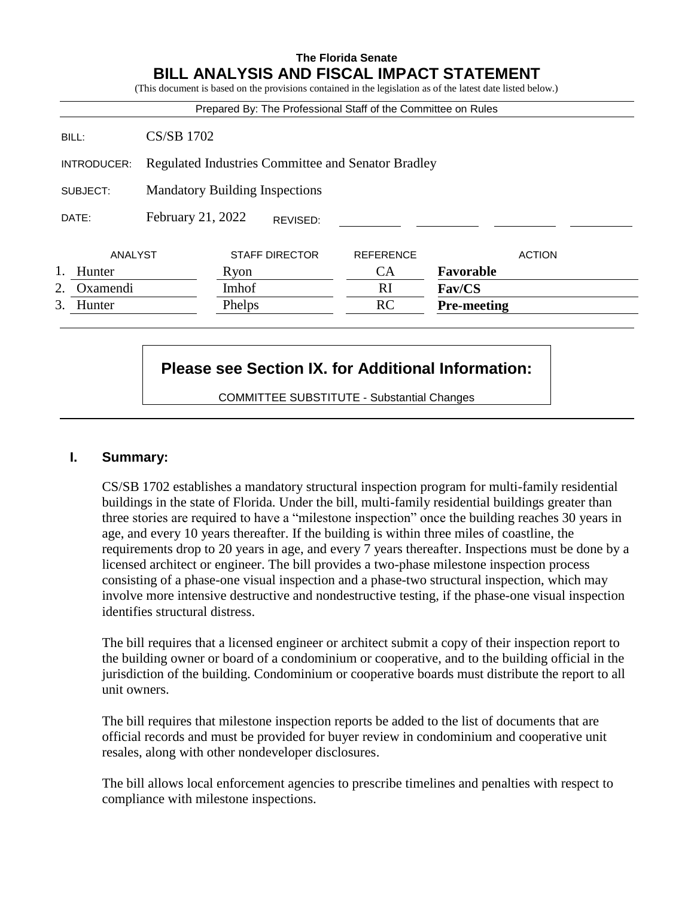# **The Florida Senate BILL ANALYSIS AND FISCAL IMPACT STATEMENT**

(This document is based on the provisions contained in the legislation as of the latest date listed below.) Prepared By: The Professional Staff of the Committee on Rules BILL: CS/SB 1702 INTRODUCER: Regulated Industries Committee and Senator Bradley SUBJECT: Mandatory Building Inspections DATE: February 21, 2022 ANALYST STAFF DIRECTOR REFERENCE ACTION 1. Hunter **Ryon** Ryon **CA Favorable** 2. Oxamendi Imhof RI **Fav/CS** 3. Hunter Phelps RC **Pre-meeting** REVISED:

# **Please see Section IX. for Additional Information:**

COMMITTEE SUBSTITUTE - Substantial Changes

# **I. Summary:**

CS/SB 1702 establishes a mandatory structural inspection program for multi-family residential buildings in the state of Florida. Under the bill, multi-family residential buildings greater than three stories are required to have a "milestone inspection" once the building reaches 30 years in age, and every 10 years thereafter. If the building is within three miles of coastline, the requirements drop to 20 years in age, and every 7 years thereafter. Inspections must be done by a licensed architect or engineer. The bill provides a two-phase milestone inspection process consisting of a phase-one visual inspection and a phase-two structural inspection, which may involve more intensive destructive and nondestructive testing, if the phase-one visual inspection identifies structural distress.

The bill requires that a licensed engineer or architect submit a copy of their inspection report to the building owner or board of a condominium or cooperative, and to the building official in the jurisdiction of the building. Condominium or cooperative boards must distribute the report to all unit owners.

The bill requires that milestone inspection reports be added to the list of documents that are official records and must be provided for buyer review in condominium and cooperative unit resales, along with other nondeveloper disclosures.

The bill allows local enforcement agencies to prescribe timelines and penalties with respect to compliance with milestone inspections.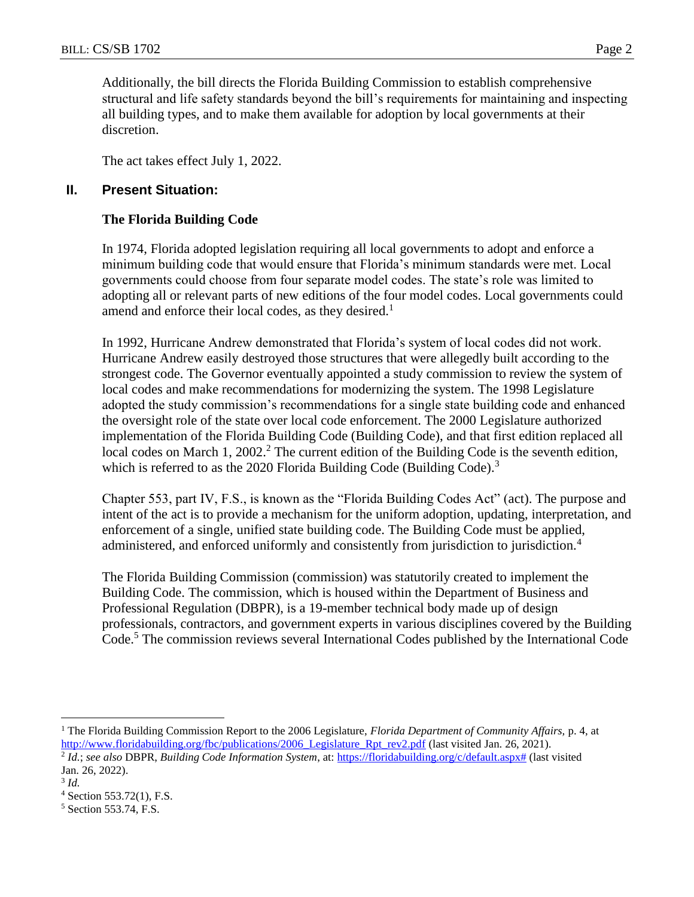Additionally, the bill directs the Florida Building Commission to establish comprehensive structural and life safety standards beyond the bill's requirements for maintaining and inspecting all building types, and to make them available for adoption by local governments at their discretion.

The act takes effect July 1, 2022.

# **II. Present Situation:**

#### **The Florida Building Code**

In 1974, Florida adopted legislation requiring all local governments to adopt and enforce a minimum building code that would ensure that Florida's minimum standards were met. Local governments could choose from four separate model codes. The state's role was limited to adopting all or relevant parts of new editions of the four model codes. Local governments could amend and enforce their local codes, as they desired.<sup>1</sup>

In 1992, Hurricane Andrew demonstrated that Florida's system of local codes did not work. Hurricane Andrew easily destroyed those structures that were allegedly built according to the strongest code. The Governor eventually appointed a study commission to review the system of local codes and make recommendations for modernizing the system. The 1998 Legislature adopted the study commission's recommendations for a single state building code and enhanced the oversight role of the state over local code enforcement. The 2000 Legislature authorized implementation of the Florida Building Code (Building Code), and that first edition replaced all local codes on March 1, 2002.<sup>2</sup> The current edition of the Building Code is the seventh edition, which is referred to as the 2020 Florida Building Code (Building Code).<sup>3</sup>

Chapter 553, part IV, F.S., is known as the "Florida Building Codes Act" (act). The purpose and intent of the act is to provide a mechanism for the uniform adoption, updating, interpretation, and enforcement of a single, unified state building code. The Building Code must be applied, administered, and enforced uniformly and consistently from jurisdiction to jurisdiction.<sup>4</sup>

The Florida Building Commission (commission) was statutorily created to implement the Building Code. The commission, which is housed within the Department of Business and Professional Regulation (DBPR), is a 19-member technical body made up of design professionals, contractors, and government experts in various disciplines covered by the Building Code.<sup>5</sup> The commission reviews several International Codes published by the International Code

<sup>1</sup> The Florida Building Commission Report to the 2006 Legislature, *Florida Department of Community Affairs,* p. 4, at [http://www.floridabuilding.org/fbc/publications/2006\\_Legislature\\_Rpt\\_rev2.pdf](http://www.floridabuilding.org/fbc/publications/2006_Legislature_Rpt_rev2.pdf) (last visited Jan. 26, 2021).

<sup>2</sup> *Id.*; *see also* DBPR, *Building Code Information System*, at: [https://floridabuilding.org/c/default.aspx#](https://floridabuilding.org/c/default.aspx) (last visited Jan. 26, 2022).

<sup>3</sup> *Id.*

 $4$  Section 553.72(1), F.S.

<sup>5</sup> Section 553.74, F.S.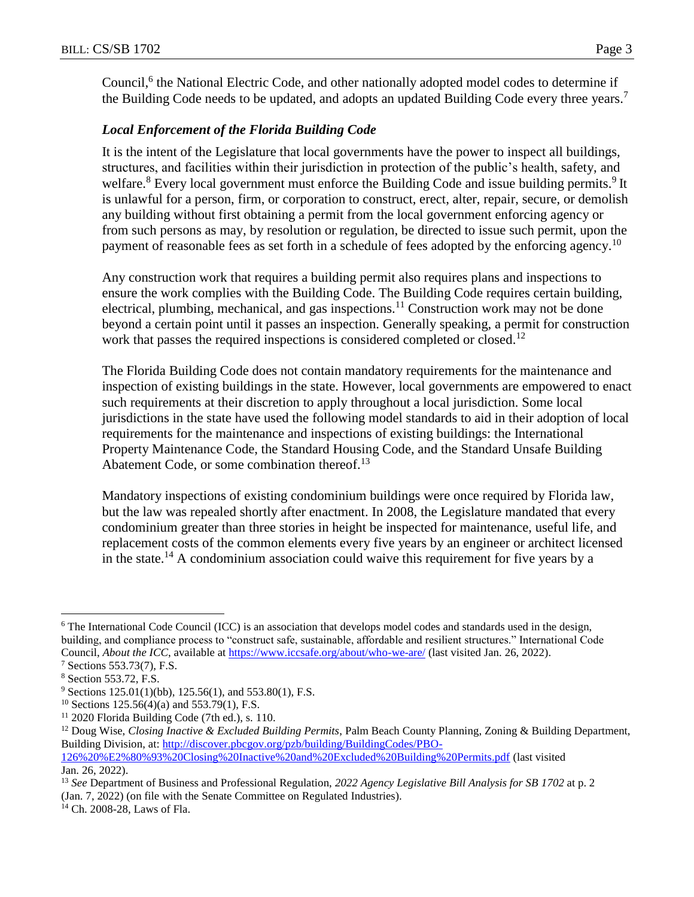Council,<sup>6</sup> the National Electric Code, and other nationally adopted model codes to determine if the Building Code needs to be updated, and adopts an updated Building Code every three years.<sup>7</sup>

#### *Local Enforcement of the Florida Building Code*

It is the intent of the Legislature that local governments have the power to inspect all buildings, structures, and facilities within their jurisdiction in protection of the public's health, safety, and welfare.<sup>8</sup> Every local government must enforce the Building Code and issue building permits.<sup>9</sup> It is unlawful for a person, firm, or corporation to construct, erect, alter, repair, secure, or demolish any building without first obtaining a permit from the local government enforcing agency or from such persons as may, by resolution or regulation, be directed to issue such permit, upon the payment of reasonable fees as set forth in a schedule of fees adopted by the enforcing agency.<sup>10</sup>

Any construction work that requires a building permit also requires plans and inspections to ensure the work complies with the Building Code. The Building Code requires certain building, electrical, plumbing, mechanical, and gas inspections.<sup>11</sup> Construction work may not be done beyond a certain point until it passes an inspection. Generally speaking, a permit for construction work that passes the required inspections is considered completed or closed.<sup>12</sup>

The Florida Building Code does not contain mandatory requirements for the maintenance and inspection of existing buildings in the state. However, local governments are empowered to enact such requirements at their discretion to apply throughout a local jurisdiction. Some local jurisdictions in the state have used the following model standards to aid in their adoption of local requirements for the maintenance and inspections of existing buildings: the International Property Maintenance Code, the Standard Housing Code, and the Standard Unsafe Building Abatement Code, or some combination thereof.<sup>13</sup>

Mandatory inspections of existing condominium buildings were once required by Florida law, but the law was repealed shortly after enactment. In 2008, the Legislature mandated that every condominium greater than three stories in height be inspected for maintenance, useful life, and replacement costs of the common elements every five years by an engineer or architect licensed in the state.<sup>14</sup> A condominium association could waive this requirement for five years by a

<sup>6</sup> The International Code Council (ICC) is an association that develops model codes and standards used in the design, building, and compliance process to "construct safe, sustainable, affordable and resilient structures." International Code Council, *About the ICC*, available at <https://www.iccsafe.org/about/who-we-are/> (last visited Jan. 26, 2022).

<sup>7</sup> Sections 553.73(7), F.S.

<sup>8</sup> Section 553.72, F.S.

<sup>9</sup> Sections 125.01(1)(bb), 125.56(1), and 553.80(1), F.S.

<sup>&</sup>lt;sup>10</sup> Sections 125.56(4)(a) and 553.79(1), F.S.

 $11$  2020 Florida Building Code (7th ed.), s. 110.

<sup>12</sup> Doug Wise, *Closing Inactive & Excluded Building Permits*, Palm Beach County Planning, Zoning & Building Department, Building Division, at: [http://discover.pbcgov.org/pzb/building/BuildingCodes/PBO-](http://discover.pbcgov.org/pzb/building/BuildingCodes/PBO-126%20%E2%80%93%20Closing%20Inactive%20and%20Excluded%20Building%20Permits.pdf)[126%20%E2%80%93%20Closing%20Inactive%20and%20Excluded%20Building%20Permits.pdf](http://discover.pbcgov.org/pzb/building/BuildingCodes/PBO-126%20%E2%80%93%20Closing%20Inactive%20and%20Excluded%20Building%20Permits.pdf) (last visited Jan. 26, 2022).

<sup>13</sup> *See* Department of Business and Professional Regulation, *2022 Agency Legislative Bill Analysis for SB 1702* at p. 2 (Jan. 7, 2022) (on file with the Senate Committee on Regulated Industries).

<sup>14</sup> Ch. 2008-28, Laws of Fla.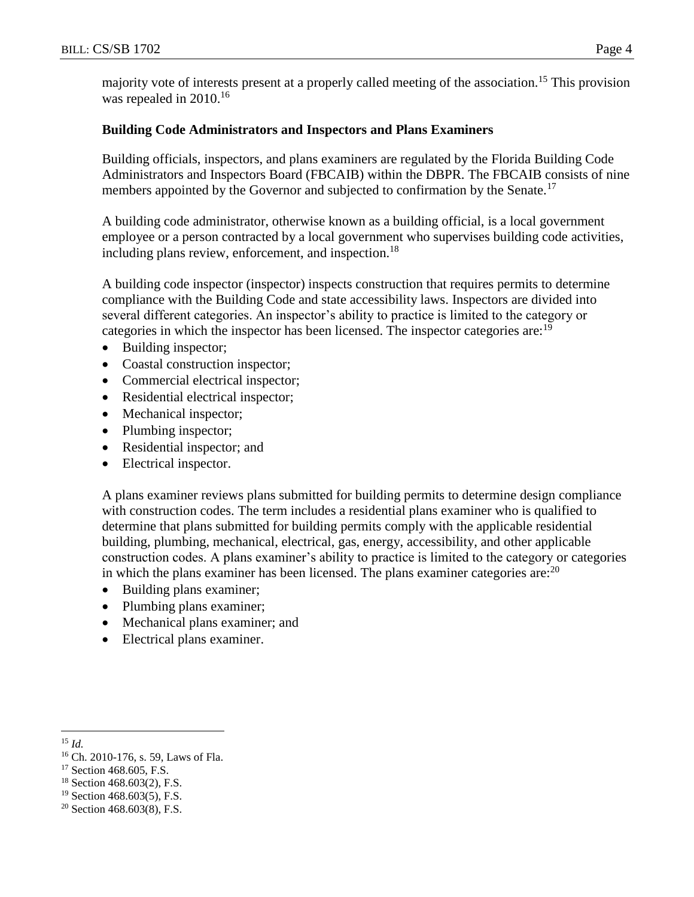majority vote of interests present at a properly called meeting of the association.<sup>15</sup> This provision was repealed in  $2010^{16}$ 

#### **Building Code Administrators and Inspectors and Plans Examiners**

Building officials, inspectors, and plans examiners are regulated by the Florida Building Code Administrators and Inspectors Board (FBCAIB) within the DBPR. The FBCAIB consists of nine members appointed by the Governor and subjected to confirmation by the Senate.<sup>17</sup>

A building code administrator, otherwise known as a building official, is a local government employee or a person contracted by a local government who supervises building code activities, including plans review, enforcement, and inspection.<sup>18</sup>

A building code inspector (inspector) inspects construction that requires permits to determine compliance with the Building Code and state accessibility laws. Inspectors are divided into several different categories. An inspector's ability to practice is limited to the category or categories in which the inspector has been licensed. The inspector categories are:<sup>19</sup>

- Building inspector;
- Coastal construction inspector;
- Commercial electrical inspector;
- Residential electrical inspector;
- Mechanical inspector;
- Plumbing inspector;
- Residential inspector; and
- Electrical inspector.

A plans examiner reviews plans submitted for building permits to determine design compliance with construction codes. The term includes a residential plans examiner who is qualified to determine that plans submitted for building permits comply with the applicable residential building, plumbing, mechanical, electrical, gas, energy, accessibility, and other applicable construction codes. A plans examiner's ability to practice is limited to the category or categories in which the plans examiner has been licensed. The plans examiner categories are:  $20$ 

- Building plans examiner;
- Plumbing plans examiner;
- Mechanical plans examiner; and
- Electrical plans examiner.

- <sup>18</sup> Section 468.603(2), F.S.
- <sup>19</sup> Section 468.603(5), F.S.

 $\overline{a}$ <sup>15</sup> *Id.*

<sup>16</sup> Ch. 2010-176, s. 59, Laws of Fla.

<sup>&</sup>lt;sup>17</sup> Section 468.605, F.S.

<sup>20</sup> Section 468.603(8), F.S.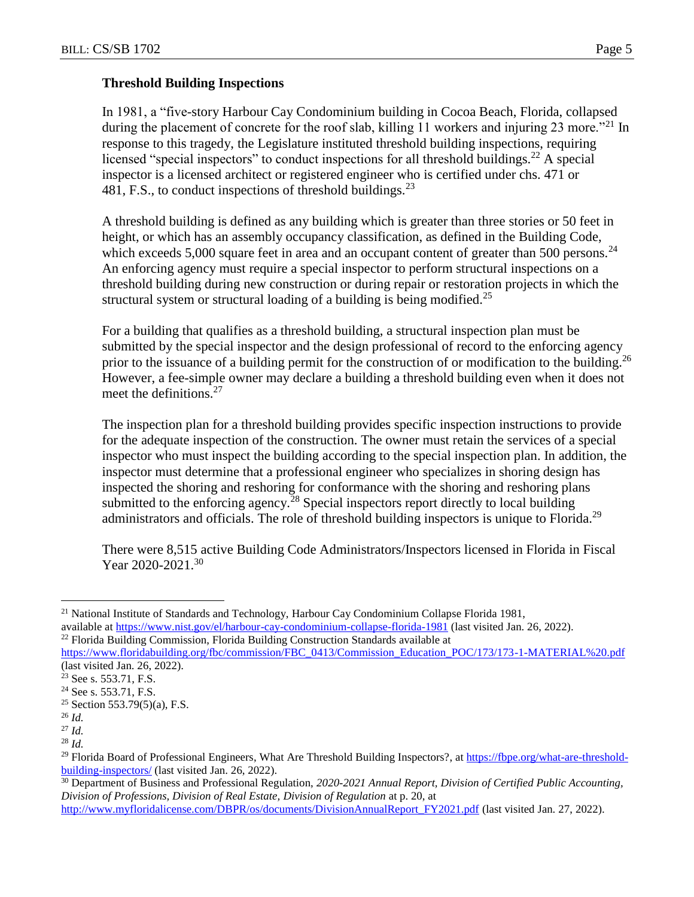#### **Threshold Building Inspections**

In 1981, a "five-story Harbour Cay Condominium building in Cocoa Beach, Florida, collapsed during the placement of concrete for the roof slab, killing 11 workers and injuring 23 more."<sup>21</sup> In response to this tragedy, the Legislature instituted threshold building inspections, requiring licensed "special inspectors" to conduct inspections for all threshold buildings.<sup>22</sup> A special inspector is a licensed architect or registered engineer who is certified under chs. 471 or 481, F.S., to conduct inspections of threshold buildings.<sup>23</sup>

A threshold building is defined as any building which is greater than three stories or 50 feet in height, or which has an assembly occupancy classification, as defined in the Building Code, which exceeds  $5,000$  square feet in area and an occupant content of greater than  $500$  persons.<sup>24</sup> An enforcing agency must require a special inspector to perform structural inspections on a threshold building during new construction or during repair or restoration projects in which the structural system or structural loading of a building is being modified.<sup>25</sup>

For a building that qualifies as a threshold building, a structural inspection plan must be submitted by the special inspector and the design professional of record to the enforcing agency prior to the issuance of a building permit for the construction of or modification to the building.<sup>26</sup> However, a fee-simple owner may declare a building a threshold building even when it does not meet the definitions.<sup>27</sup>

The inspection plan for a threshold building provides specific inspection instructions to provide for the adequate inspection of the construction. The owner must retain the services of a special inspector who must inspect the building according to the special inspection plan. In addition, the inspector must determine that a professional engineer who specializes in shoring design has inspected the shoring and reshoring for conformance with the shoring and reshoring plans submitted to the enforcing agency.<sup>28</sup> Special inspectors report directly to local building administrators and officials. The role of threshold building inspectors is unique to Florida.<sup>29</sup>

There were 8,515 active Building Code Administrators/Inspectors licensed in Florida in Fiscal Year 2020-2021.<sup>30</sup>

<sup>21</sup> National Institute of Standards and Technology, Harbour Cay Condominium Collapse Florida 1981, available at<https://www.nist.gov/el/harbour-cay-condominium-collapse-florida-1981> (last visited Jan. 26, 2022).

<sup>&</sup>lt;sup>22</sup> Florida Building Commission, Florida Building Construction Standards available at [https://www.floridabuilding.org/fbc/commission/FBC\\_0413/Commission\\_Education\\_POC/173/173-1-MATERIAL%20.pdf](https://www.floridabuilding.org/fbc/commission/FBC_0413/Commission_Education_POC/173/173-1-MATERIAL%20.pdf) (last visited Jan. 26, 2022).

<sup>23</sup> See s. 553.71, F.S.

<sup>24</sup> See s. 553.71, F.S.

<sup>25</sup> Section 553.79(5)(a), F.S.

<sup>26</sup> *Id.*

<sup>27</sup> *Id.*

<sup>28</sup> *Id.*

<sup>&</sup>lt;sup>29</sup> Florida Board of Professional Engineers, What Are Threshold Building Inspectors?, a[t https://fbpe.org/what-are-threshold](https://fbpe.org/what-are-threshold-building-inspectors/)[building-inspectors/](https://fbpe.org/what-are-threshold-building-inspectors/) (last visited Jan. 26, 2022).

<sup>30</sup> Department of Business and Professional Regulation, *2020-2021 Annual Report, Division of Certified Public Accounting, Division of Professions, Division of Real Estate, Division of Regulation* at p. 20, at

[http://www.myfloridalicense.com/DBPR/os/documents/DivisionAnnualReport\\_FY2021.pdf](http://www.myfloridalicense.com/DBPR/os/documents/DivisionAnnualReport_FY2021.pdf) (last visited Jan. 27, 2022).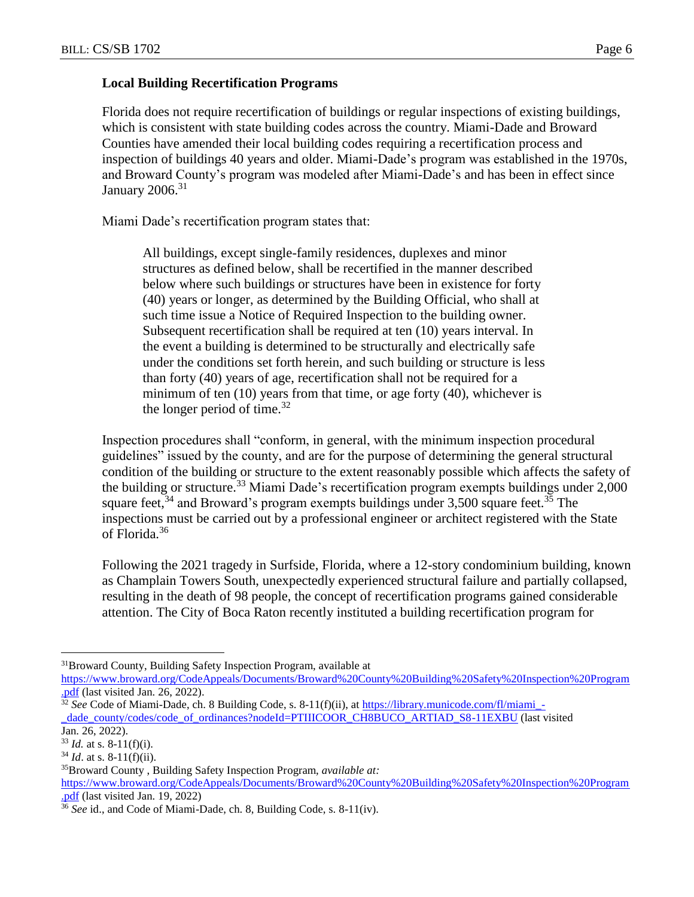#### **Local Building Recertification Programs**

Florida does not require recertification of buildings or regular inspections of existing buildings, which is consistent with state building codes across the country. Miami-Dade and Broward Counties have amended their local building codes requiring a recertification process and inspection of buildings 40 years and older. Miami-Dade's program was established in the 1970s, and Broward County's program was modeled after Miami-Dade's and has been in effect since January 2006.<sup>31</sup>

Miami Dade's recertification program states that:

All buildings, except single-family residences, duplexes and minor structures as defined below, shall be recertified in the manner described below where such buildings or structures have been in existence for forty (40) years or longer, as determined by the Building Official, who shall at such time issue a Notice of Required Inspection to the building owner. Subsequent recertification shall be required at ten (10) years interval. In the event a building is determined to be structurally and electrically safe under the conditions set forth herein, and such building or structure is less than forty (40) years of age, recertification shall not be required for a minimum of ten (10) years from that time, or age forty (40), whichever is the longer period of time.<sup>32</sup>

Inspection procedures shall "conform, in general, with the minimum inspection procedural guidelines" issued by the county, and are for the purpose of determining the general structural condition of the building or structure to the extent reasonably possible which affects the safety of the building or structure.<sup>33</sup> Miami Dade's recertification program exempts buildings under 2,000 square feet,  $34$  and Broward's program exempts buildings under 3,500 square feet.  $35$  The inspections must be carried out by a professional engineer or architect registered with the State of Florida.<sup>36</sup>

Following the 2021 tragedy in Surfside, Florida, where a 12-story condominium building, known as Champlain Towers South, unexpectedly experienced structural failure and partially collapsed, resulting in the death of 98 people, the concept of recertification programs gained considerable attention. The City of Boca Raton recently instituted a building recertification program for

<sup>&</sup>lt;sup>31</sup>Broward County, Building Safety Inspection Program, available at

[https://www.broward.org/CodeAppeals/Documents/Broward%20County%20Building%20Safety%20Inspection%20Program](https://www.broward.org/CodeAppeals/Documents/Broward%20County%20Building%20Safety%20Inspection%20Program.pdf) [.pdf](https://www.broward.org/CodeAppeals/Documents/Broward%20County%20Building%20Safety%20Inspection%20Program.pdf) (last visited Jan. 26, 2022).

<sup>&</sup>lt;sup>32</sup> See Code of Miami-Dade, ch. 8 Building Code, s. 8-11(f)(ii), a[t https://library.municode.com/fl/miami\\_](https://library.municode.com/fl/miami_-_dade_county/codes/code_of_ordinances?nodeId=PTIIICOOR_CH8BUCO_ARTIAD_S8-11EXBU) dade\_county/codes/code\_of\_ordinances?nodeId=PTIIICOOR\_CH8BUCO\_ARTIAD\_S8-11EXBU (last visited Jan. 26, 2022).

 $33$  *Id.* at s.  $8-11(f)(i)$ .

<sup>34</sup> *Id*. at s. 8-11(f)(ii).

<sup>35</sup>Broward County , Building Safety Inspection Program, *available at:*

[https://www.broward.org/CodeAppeals/Documents/Broward%20County%20Building%20Safety%20Inspection%20Program](https://www.broward.org/CodeAppeals/Documents/Broward%20County%20Building%20Safety%20Inspection%20Program.pdf) [.pdf](https://www.broward.org/CodeAppeals/Documents/Broward%20County%20Building%20Safety%20Inspection%20Program.pdf) (last visited Jan. 19, 2022)

<sup>36</sup> *See* id., and Code of Miami-Dade, ch. 8, Building Code, s. 8-11(iv).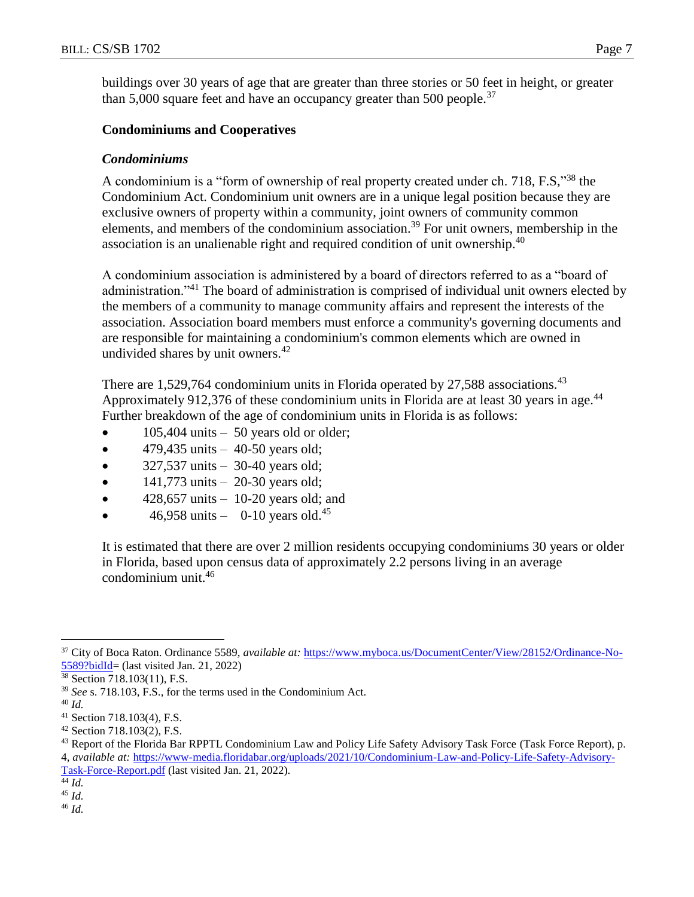buildings over 30 years of age that are greater than three stories or 50 feet in height, or greater than 5,000 square feet and have an occupancy greater than 500 people.<sup>37</sup>

# **Condominiums and Cooperatives**

#### *Condominiums*

A condominium is a "form of ownership of real property created under ch. 718, F.S,"<sup>38</sup> the Condominium Act. Condominium unit owners are in a unique legal position because they are exclusive owners of property within a community, joint owners of community common elements, and members of the condominium association.<sup>39</sup> For unit owners, membership in the association is an unalienable right and required condition of unit ownership.<sup>40</sup>

A condominium association is administered by a board of directors referred to as a "board of administration."<sup>41</sup> The board of administration is comprised of individual unit owners elected by the members of a community to manage community affairs and represent the interests of the association. Association board members must enforce a community's governing documents and are responsible for maintaining a condominium's common elements which are owned in undivided shares by unit owners.<sup>42</sup>

There are 1,529,764 condominium units in Florida operated by 27,588 associations.<sup>43</sup> Approximately 912,376 of these condominium units in Florida are at least 30 years in age.<sup>44</sup> Further breakdown of the age of condominium units in Florida is as follows:

- $\bullet$  105,404 units 50 years old or older;
- $\bullet$  479,435 units 40-50 years old;
- $\bullet$  327,537 units 30-40 years old;
- $141,773 \text{ units} 20-30 \text{ years old};$
- $\bullet$  428,657 units 10-20 years old; and
- $46,958 \text{ units} 0.10 \text{ years old.}^{45}$

It is estimated that there are over 2 million residents occupying condominiums 30 years or older in Florida, based upon census data of approximately 2.2 persons living in an average condominium unit.<sup>46</sup>

 $\overline{a}$ 

<sup>46</sup> *Id.* 

<sup>37</sup> City of Boca Raton. Ordinance 5589, *available at:* [https://www.myboca.us/DocumentCenter/View/28152/Ordinance-No-](https://www.myboca.us/DocumentCenter/View/28152/Ordinance-No-5589?bidId)[5589?bidId=](https://www.myboca.us/DocumentCenter/View/28152/Ordinance-No-5589?bidId) (last visited Jan. 21, 2022)

<sup>38</sup> Section 718.103(11), F.S.

<sup>39</sup> *See* s. 718.103, F.S., for the terms used in the Condominium Act.

<sup>40</sup> *Id.*

<sup>41</sup> Section 718.103(4), F.S.

<sup>42</sup> Section 718.103(2), F.S.

<sup>&</sup>lt;sup>43</sup> Report of the Florida Bar RPPTL Condominium Law and Policy Life Safety Advisory Task Force (Task Force Report), p. 4, *available at:* [https://www-media.floridabar.org/uploads/2021/10/Condominium-Law-and-Policy-Life-Safety-Advisory-](https://www-media.floridabar.org/uploads/2021/10/Condominium-Law-and-Policy-Life-Safety-Advisory-Task-Force-Report.pdf)

[Task-Force-Report.pdf](https://www-media.floridabar.org/uploads/2021/10/Condominium-Law-and-Policy-Life-Safety-Advisory-Task-Force-Report.pdf) (last visited Jan. 21, 2022)*.*  $\overline{44}$  *Id.* 

<sup>45</sup> *Id.*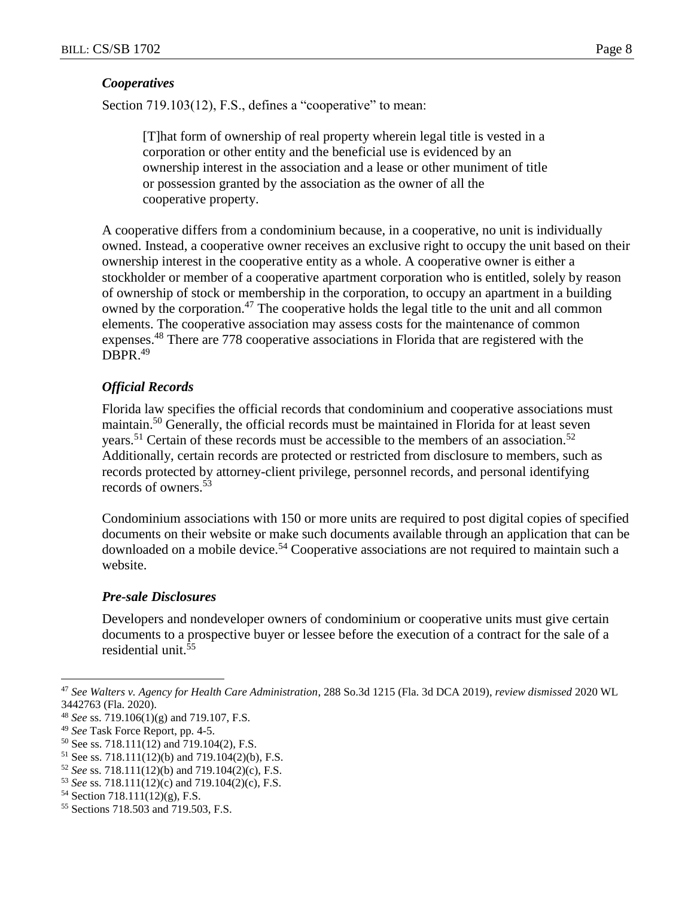#### *Cooperatives*

Section 719.103(12), F.S., defines a "cooperative" to mean:

[T]hat form of ownership of real property wherein legal title is vested in a corporation or other entity and the beneficial use is evidenced by an ownership interest in the association and a lease or other muniment of title or possession granted by the association as the owner of all the cooperative property.

A cooperative differs from a condominium because, in a cooperative, no unit is individually owned. Instead, a cooperative owner receives an exclusive right to occupy the unit based on their ownership interest in the cooperative entity as a whole. A cooperative owner is either a stockholder or member of a cooperative apartment corporation who is entitled, solely by reason of ownership of stock or membership in the corporation, to occupy an apartment in a building owned by the corporation.<sup>47</sup> The cooperative holds the legal title to the unit and all common elements. The cooperative association may assess costs for the maintenance of common expenses.<sup>48</sup> There are 778 cooperative associations in Florida that are registered with the DBPR. 49

#### *Official Records*

Florida law specifies the official records that condominium and cooperative associations must maintain.<sup>50</sup> Generally, the official records must be maintained in Florida for at least seven years.<sup>51</sup> Certain of these records must be accessible to the members of an association.<sup>52</sup> Additionally, certain records are protected or restricted from disclosure to members, such as records protected by attorney-client privilege, personnel records, and personal identifying records of owners.<sup>53</sup>

Condominium associations with 150 or more units are required to post digital copies of specified documents on their website or make such documents available through an application that can be downloaded on a mobile device.<sup>54</sup> Cooperative associations are not required to maintain such a website.

#### *Pre-sale Disclosures*

Developers and nondeveloper owners of condominium or cooperative units must give certain documents to a prospective buyer or lessee before the execution of a contract for the sale of a residential unit. 55

<sup>47</sup> *See Walters v. Agency for Health Care Administration*, 288 So.3d 1215 (Fla. 3d DCA 2019), *review dismissed* 2020 WL 3442763 (Fla. 2020).

<sup>48</sup> *See* ss. 719.106(1)(g) and 719.107, F.S.

<sup>49</sup> *See* Task Force Report, pp. 4-5.

 $50$  See ss. 718.111(12) and 719.104(2), F.S.

 $51$  See ss. 718.111(12)(b) and 719.104(2)(b), F.S.

<sup>52</sup> *See* ss. 718.111(12)(b) and 719.104(2)(c), F.S.

<sup>53</sup> *See* ss. 718.111(12)(c) and 719.104(2)(c), F.S.

<sup>54</sup> Section 718.111(12)(g), F.S.

<sup>55</sup> Sections 718.503 and 719.503, F.S.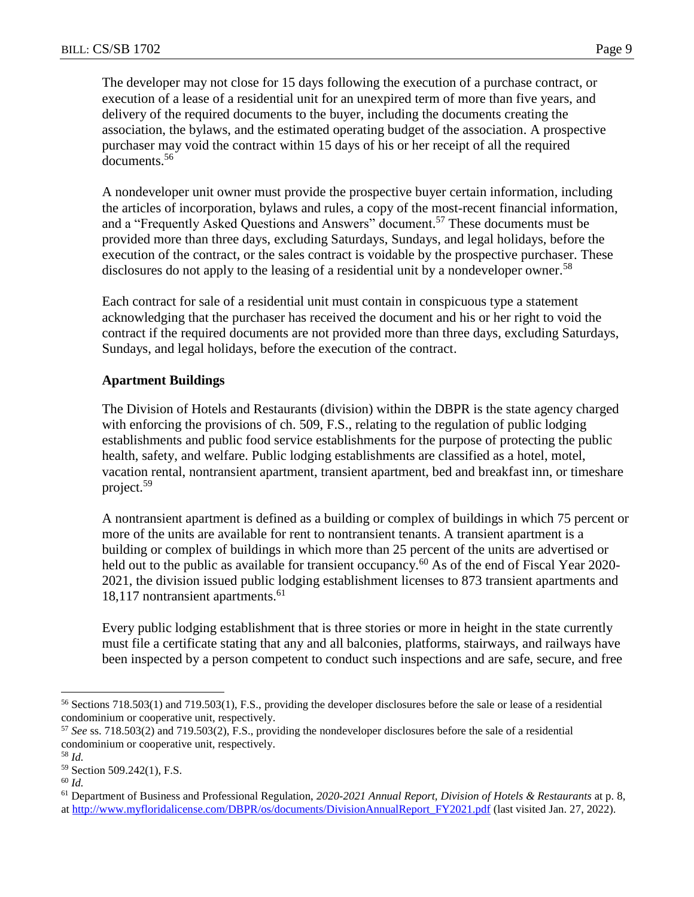The developer may not close for 15 days following the execution of a purchase contract, or execution of a lease of a residential unit for an unexpired term of more than five years, and delivery of the required documents to the buyer, including the documents creating the association, the bylaws, and the estimated operating budget of the association. A prospective purchaser may void the contract within 15 days of his or her receipt of all the required documents.<sup>56</sup>

A nondeveloper unit owner must provide the prospective buyer certain information, including the articles of incorporation, bylaws and rules, a copy of the most-recent financial information, and a "Frequently Asked Questions and Answers" document.<sup>57</sup> These documents must be provided more than three days, excluding Saturdays, Sundays, and legal holidays, before the execution of the contract, or the sales contract is voidable by the prospective purchaser. These disclosures do not apply to the leasing of a residential unit by a nondeveloper owner.<sup>58</sup>

Each contract for sale of a residential unit must contain in conspicuous type a statement acknowledging that the purchaser has received the document and his or her right to void the contract if the required documents are not provided more than three days, excluding Saturdays, Sundays, and legal holidays, before the execution of the contract.

# **Apartment Buildings**

The Division of Hotels and Restaurants (division) within the DBPR is the state agency charged with enforcing the provisions of ch. 509, F.S., relating to the regulation of public lodging establishments and public food service establishments for the purpose of protecting the public health, safety, and welfare. Public lodging establishments are classified as a hotel, motel, vacation rental, nontransient apartment, transient apartment, bed and breakfast inn, or timeshare project.<sup>59</sup>

A nontransient apartment is defined as a building or complex of buildings in which 75 percent or more of the units are available for rent to nontransient tenants. A transient apartment is a building or complex of buildings in which more than 25 percent of the units are advertised or held out to the public as available for transient occupancy.<sup>60</sup> As of the end of Fiscal Year 2020-2021, the division issued public lodging establishment licenses to 873 transient apartments and 18,117 nontransient apartments. 61

Every public lodging establishment that is three stories or more in height in the state currently must file a certificate stating that any and all balconies, platforms, stairways, and railways have been inspected by a person competent to conduct such inspections and are safe, secure, and free

 $\overline{a}$ <sup>56</sup> Sections 718.503(1) and 719.503(1), F.S., providing the developer disclosures before the sale or lease of a residential condominium or cooperative unit, respectively.

<sup>57</sup> *See* ss. 718.503(2) and 719.503(2), F.S., providing the nondeveloper disclosures before the sale of a residential condominium or cooperative unit, respectively.

<sup>58</sup> *Id.*

<sup>59</sup> Section 509.242(1), F.S.

<sup>60</sup> *Id.*

<sup>61</sup> Department of Business and Professional Regulation, *2020-2021 Annual Report, Division of Hotels & Restaurants* at p. 8, a[t http://www.myfloridalicense.com/DBPR/os/documents/DivisionAnnualReport\\_FY2021.pdf](http://www.myfloridalicense.com/DBPR/os/documents/DivisionAnnualReport_FY2021.pdf) (last visited Jan. 27, 2022).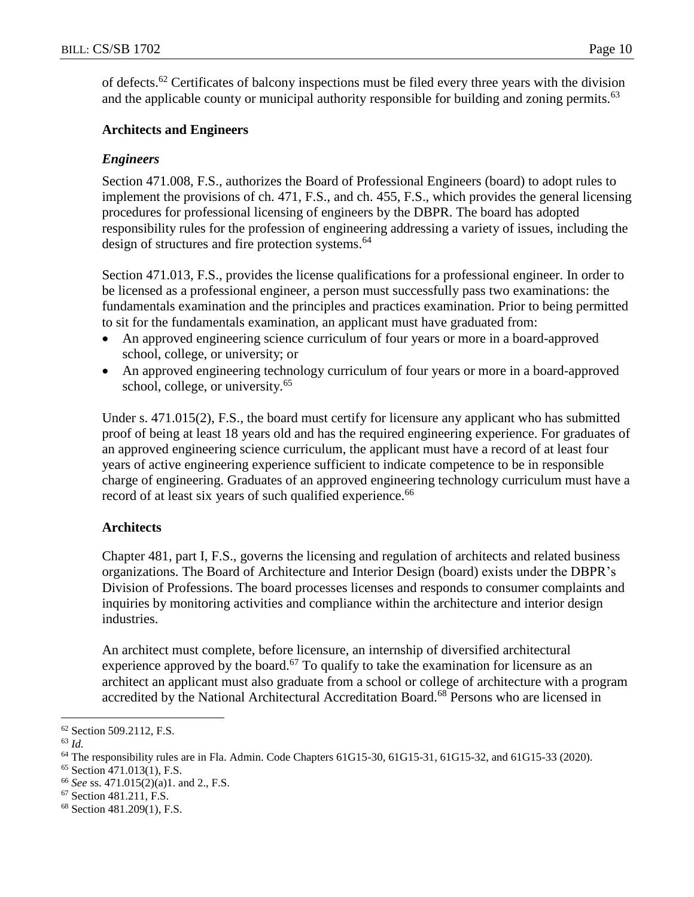of defects.<sup>62</sup> Certificates of balcony inspections must be filed every three years with the division and the applicable county or municipal authority responsible for building and zoning permits.<sup>63</sup>

#### **Architects and Engineers**

#### *Engineers*

Section 471.008, F.S., authorizes the Board of Professional Engineers (board) to adopt rules to implement the provisions of ch. 471, F.S., and ch. 455, F.S., which provides the general licensing procedures for professional licensing of engineers by the DBPR. The board has adopted responsibility rules for the profession of engineering addressing a variety of issues, including the design of structures and fire protection systems.<sup>64</sup>

Section 471.013, F.S., provides the license qualifications for a professional engineer. In order to be licensed as a professional engineer, a person must successfully pass two examinations: the fundamentals examination and the principles and practices examination. Prior to being permitted to sit for the fundamentals examination, an applicant must have graduated from:

- An approved engineering science curriculum of four years or more in a board-approved school, college, or university; or
- An approved engineering technology curriculum of four years or more in a board-approved school, college, or university.<sup>65</sup>

Under s. 471.015(2), F.S., the board must certify for licensure any applicant who has submitted proof of being at least 18 years old and has the required engineering experience. For graduates of an approved engineering science curriculum, the applicant must have a record of at least four years of active engineering experience sufficient to indicate competence to be in responsible charge of engineering. Graduates of an approved engineering technology curriculum must have a record of at least six years of such qualified experience.<sup>66</sup>

#### **Architects**

Chapter 481, part I, F.S., governs the licensing and regulation of architects and related business organizations. The Board of Architecture and Interior Design (board) exists under the DBPR's Division of Professions. The board processes licenses and responds to consumer complaints and inquiries by monitoring activities and compliance within the architecture and interior design industries.

An architect must complete, before licensure, an internship of diversified architectural experience approved by the board.<sup>67</sup> To qualify to take the examination for licensure as an architect an applicant must also graduate from a school or college of architecture with a program accredited by the National Architectural Accreditation Board.<sup>68</sup> Persons who are licensed in

<sup>62</sup> Section 509.2112, F.S.

<sup>63</sup> *Id.*

<sup>64</sup> The responsibility rules are in Fla. Admin. Code Chapters 61G15-30, 61G15-31, 61G15-32, and 61G15-33 (2020).

<sup>65</sup> Section 471.013(1), F.S.

<sup>66</sup> *See* ss. 471.015(2)(a)1. and 2., F.S.

<sup>67</sup> Section 481.211, F.S.

<sup>68</sup> Section 481.209(1), F.S.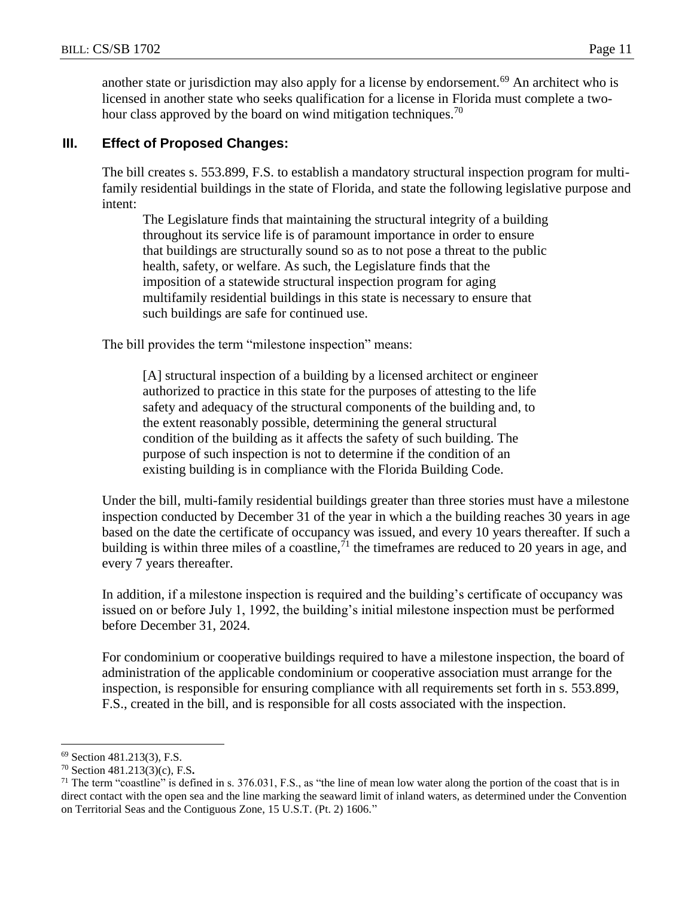another state or jurisdiction may also apply for a license by endorsement.<sup>69</sup> An architect who is licensed in another state who seeks qualification for a license in Florida must complete a twohour class approved by the board on wind mitigation techniques.<sup>70</sup>

# **III. Effect of Proposed Changes:**

The bill creates s. 553.899, F.S. to establish a mandatory structural inspection program for multifamily residential buildings in the state of Florida, and state the following legislative purpose and intent:

The Legislature finds that maintaining the structural integrity of a building throughout its service life is of paramount importance in order to ensure that buildings are structurally sound so as to not pose a threat to the public health, safety, or welfare. As such, the Legislature finds that the imposition of a statewide structural inspection program for aging multifamily residential buildings in this state is necessary to ensure that such buildings are safe for continued use.

The bill provides the term "milestone inspection" means:

[A] structural inspection of a building by a licensed architect or engineer authorized to practice in this state for the purposes of attesting to the life safety and adequacy of the structural components of the building and, to the extent reasonably possible, determining the general structural condition of the building as it affects the safety of such building. The purpose of such inspection is not to determine if the condition of an existing building is in compliance with the Florida Building Code.

Under the bill, multi-family residential buildings greater than three stories must have a milestone inspection conducted by December 31 of the year in which a the building reaches 30 years in age based on the date the certificate of occupancy was issued, and every 10 years thereafter. If such a building is within three miles of a coastline, $<sup>71</sup>$  the timeframes are reduced to 20 years in age, and</sup> every 7 years thereafter.

In addition, if a milestone inspection is required and the building's certificate of occupancy was issued on or before July 1, 1992, the building's initial milestone inspection must be performed before December 31, 2024.

For condominium or cooperative buildings required to have a milestone inspection, the board of administration of the applicable condominium or cooperative association must arrange for the inspection, is responsible for ensuring compliance with all requirements set forth in s. 553.899, F.S., created in the bill, and is responsible for all costs associated with the inspection.

<sup>69</sup> Section 481.213(3), F.S.

<sup>70</sup> Section 481.213(3)(c), F.S**.** 

 $71$  The term "coastline" is defined in s. 376.031, F.S., as "the line of mean low water along the portion of the coast that is in direct contact with the open sea and the line marking the seaward limit of inland waters, as determined under the Convention on Territorial Seas and the Contiguous Zone, 15 U.S.T. (Pt. 2) 1606."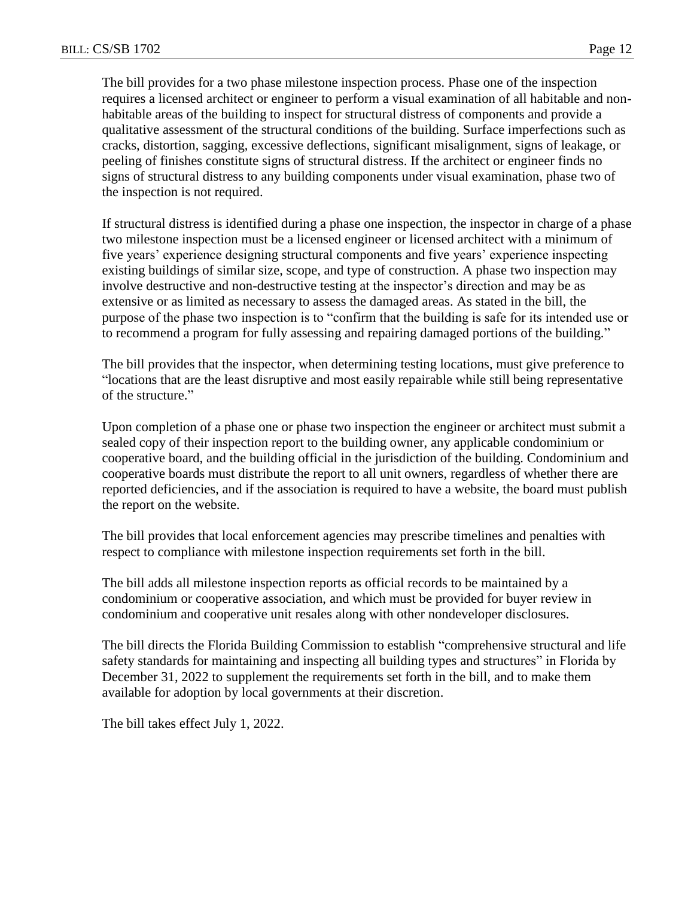The bill provides for a two phase milestone inspection process. Phase one of the inspection requires a licensed architect or engineer to perform a visual examination of all habitable and nonhabitable areas of the building to inspect for structural distress of components and provide a qualitative assessment of the structural conditions of the building. Surface imperfections such as cracks, distortion, sagging, excessive deflections, significant misalignment, signs of leakage, or peeling of finishes constitute signs of structural distress. If the architect or engineer finds no signs of structural distress to any building components under visual examination, phase two of the inspection is not required.

If structural distress is identified during a phase one inspection, the inspector in charge of a phase two milestone inspection must be a licensed engineer or licensed architect with a minimum of five years' experience designing structural components and five years' experience inspecting existing buildings of similar size, scope, and type of construction. A phase two inspection may involve destructive and non-destructive testing at the inspector's direction and may be as extensive or as limited as necessary to assess the damaged areas. As stated in the bill, the purpose of the phase two inspection is to "confirm that the building is safe for its intended use or to recommend a program for fully assessing and repairing damaged portions of the building."

The bill provides that the inspector, when determining testing locations, must give preference to "locations that are the least disruptive and most easily repairable while still being representative of the structure."

Upon completion of a phase one or phase two inspection the engineer or architect must submit a sealed copy of their inspection report to the building owner, any applicable condominium or cooperative board, and the building official in the jurisdiction of the building. Condominium and cooperative boards must distribute the report to all unit owners, regardless of whether there are reported deficiencies, and if the association is required to have a website, the board must publish the report on the website.

The bill provides that local enforcement agencies may prescribe timelines and penalties with respect to compliance with milestone inspection requirements set forth in the bill.

The bill adds all milestone inspection reports as official records to be maintained by a condominium or cooperative association, and which must be provided for buyer review in condominium and cooperative unit resales along with other nondeveloper disclosures.

The bill directs the Florida Building Commission to establish "comprehensive structural and life safety standards for maintaining and inspecting all building types and structures" in Florida by December 31, 2022 to supplement the requirements set forth in the bill, and to make them available for adoption by local governments at their discretion.

The bill takes effect July 1, 2022.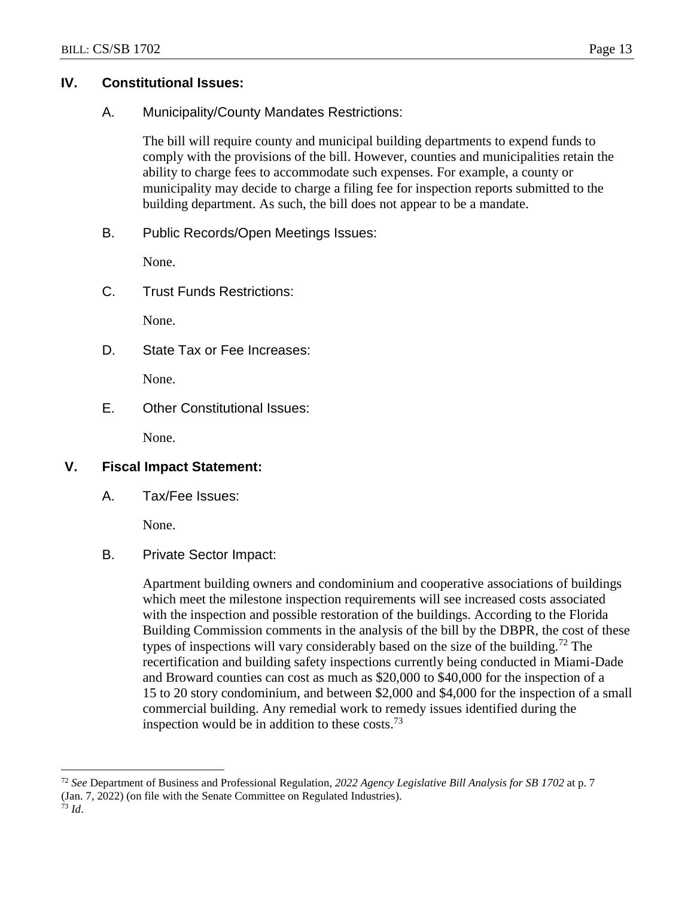# **IV. Constitutional Issues:**

A. Municipality/County Mandates Restrictions:

The bill will require county and municipal building departments to expend funds to comply with the provisions of the bill. However, counties and municipalities retain the ability to charge fees to accommodate such expenses. For example, a county or municipality may decide to charge a filing fee for inspection reports submitted to the building department. As such, the bill does not appear to be a mandate.

B. Public Records/Open Meetings Issues:

None.

C. Trust Funds Restrictions:

None.

D. State Tax or Fee Increases:

None.

E. Other Constitutional Issues:

None.

# **V. Fiscal Impact Statement:**

A. Tax/Fee Issues:

None.

B. Private Sector Impact:

Apartment building owners and condominium and cooperative associations of buildings which meet the milestone inspection requirements will see increased costs associated with the inspection and possible restoration of the buildings. According to the Florida Building Commission comments in the analysis of the bill by the DBPR, the cost of these types of inspections will vary considerably based on the size of the building.<sup>72</sup> The recertification and building safety inspections currently being conducted in Miami-Dade and Broward counties can cost as much as \$20,000 to \$40,000 for the inspection of a 15 to 20 story condominium, and between \$2,000 and \$4,000 for the inspection of a small commercial building. Any remedial work to remedy issues identified during the inspection would be in addition to these costs.<sup>73</sup>

<sup>72</sup> *See* Department of Business and Professional Regulation, *2022 Agency Legislative Bill Analysis for SB 1702* at p. 7 (Jan. 7, 2022) (on file with the Senate Committee on Regulated Industries).

<sup>73</sup> *Id*.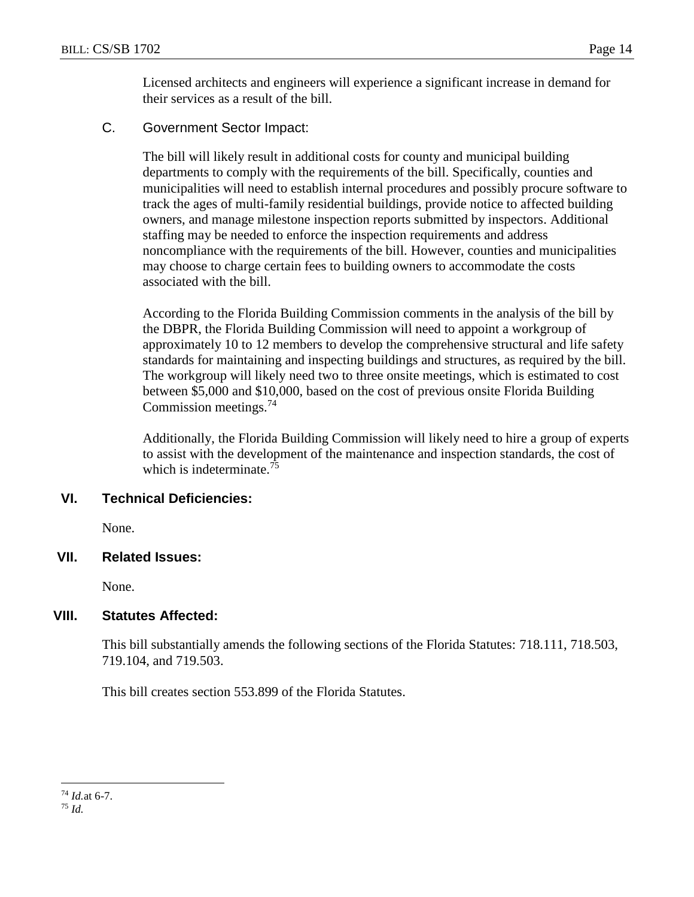Licensed architects and engineers will experience a significant increase in demand for their services as a result of the bill.

C. Government Sector Impact:

The bill will likely result in additional costs for county and municipal building departments to comply with the requirements of the bill. Specifically, counties and municipalities will need to establish internal procedures and possibly procure software to track the ages of multi-family residential buildings, provide notice to affected building owners, and manage milestone inspection reports submitted by inspectors. Additional staffing may be needed to enforce the inspection requirements and address noncompliance with the requirements of the bill. However, counties and municipalities may choose to charge certain fees to building owners to accommodate the costs associated with the bill.

According to the Florida Building Commission comments in the analysis of the bill by the DBPR, the Florida Building Commission will need to appoint a workgroup of approximately 10 to 12 members to develop the comprehensive structural and life safety standards for maintaining and inspecting buildings and structures, as required by the bill. The workgroup will likely need two to three onsite meetings, which is estimated to cost between \$5,000 and \$10,000, based on the cost of previous onsite Florida Building Commission meetings.<sup>74</sup>

Additionally, the Florida Building Commission will likely need to hire a group of experts to assist with the development of the maintenance and inspection standards, the cost of which is indeterminate.<sup>75</sup>

# **VI. Technical Deficiencies:**

None.

# **VII. Related Issues:**

None.

# **VIII. Statutes Affected:**

This bill substantially amends the following sections of the Florida Statutes: 718.111, 718.503, 719.104, and 719.503.

This bill creates section 553.899 of the Florida Statutes.

<sup>74</sup> *Id.*at 6-7.

<sup>75</sup> *Id.*